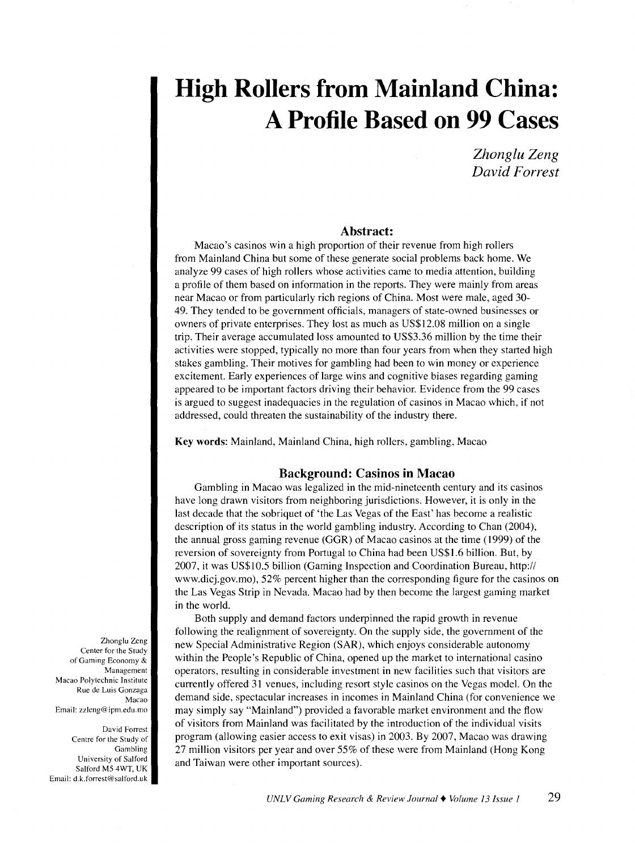*Zhonglu Zeng David F arrest* 

#### **Abstract:**

Macao's casinos win a high proportion of their revenue from high rollers from Mainland China but some of these generate social problems back home. We analyze 99 cases of high rollers whose activities came to media attention, building a profile of them based on information in the reports. They were mainly from areas near Macao or from particularly rich regions of China. Most were male, aged 30- 49. They tended to be government officials, managers of state-owned businesses or owners of private enterprises. They lost as much as US\$12.08 million on a single trip. Their average accumulated loss amounted to US\$3.36 million by the time their activities were stopped, typically no more than four years from when they started high stakes gambling. Their motives for gambling had been to win money or experience excitement. Early experiences of large wins and cognitive biases regarding gaming appeared to be important factors driving their behavior. Evidence from the 99 cases is argued to suggest inadequacies in the regulation of casinos in Macao which, if not addressed, could threaten the sustainability of the industry there.

**Key words:** Mainland, Mainland China, high rollers, gambling, Macao

#### **Background: Casinos in Macao**

Gambling in Macao was legalized in the mid-nineteenth century and its casinos have long drawn visitors from neighboring jurisdictions. However, it is only in the last decade that the sobriquet of 'the Las Vegas of the East' has become a realistic description of its status in the world gambling industry. According to Chan (2004), the annual gross gaming revenue (GGR) of Macao casinos at the time (1999) of the reversion of sovereignty from Portugal to China had been US\$1.6 billion. But, by 2007, it was US\$10.5 billion (Gaming Inspection and Coordination Bureau, http:// www.dicj.gov.mo), 52% percent higher than the corresponding figure for the casinos on the Las Vegas Strip in Nevada. Macao had by then become the largest gaming market in the world.

Both supply and demand factors underpinned the rapid growth in revenue following the realignment of sovereignty. On the supply side, the government of the new Special Administrative Region (SAR), which enjoys considerable autonomy within the People's Republic of China, opened up the market to international casino operators, resulting in considerable investment in new facilities such that visitors are currently offered 31 venues, including resort style casinos on the Vegas model. On the demand side, spectacular increases in incomes in Mainland China (for convenience we may simply say "Mainland") provided a favorable market environment and the flow of visitors from Mainland was facilitated by the introduction of the individual visits program (allowing easier access to exit visas) in 2003. By 2007, Macao was drawing 27 million visitors per year and over 55% of these were from Mainland (Hong Kong and Taiwan were other important sources).

Zhonglu Zeng Center for the Study of Gaming Economy & **Management**  Macao Polytechnic Institute Rue de Luis Gonzaga Macao Email: zzleng@ipm.edu.mo

David Forrest Centre for the Study of Gambling University of Salford Salford M5 4WT, UK Email: d.k.forrest@salford.uk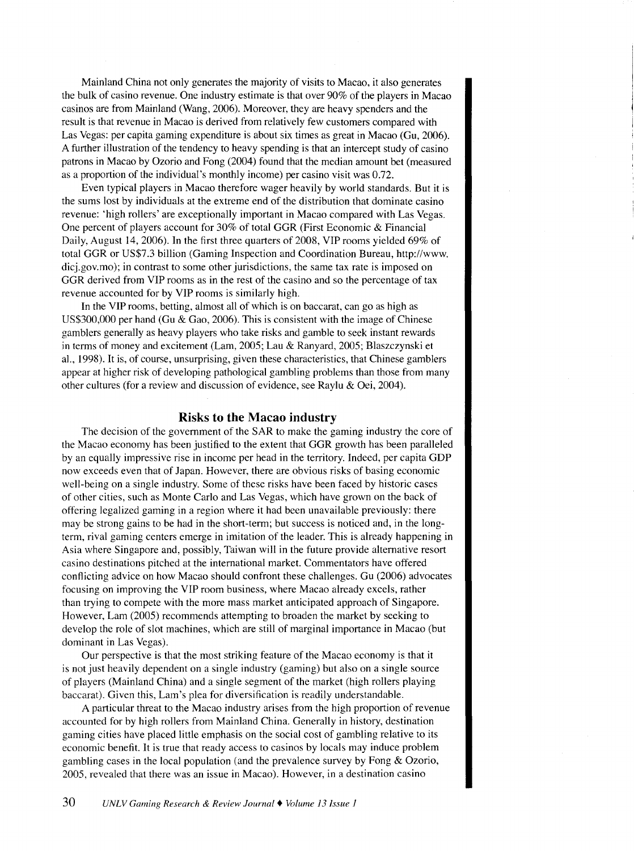Mainland China not only generates the majority of visits to Macao, it also generates the bulk of casino revenue. One industry estimate is that over 90% of the players in Macao casinos are from Mainland (Wang, 2006). Moreover, they are heavy spenders and the result is that revenue in Macao is derived from relatively few customers compared with Las Vegas: per capita gaming expenditure is about six times as great in Macao (Gu, 2006). A further illustration of the tendency to heavy spending is that an intercept study of casino patrons in Macao by Ozorio and Fong (2004) found that the median amount bet (measured as a proportion of the individual's monthly income) per casino visit was 0.72.

Even typical players in Macao therefore wager heavily by world standards. But it is the sums lost by individuals at the extreme end of the distribution that dominate casino revenue: 'high rollers' are exceptionally important in Macao compared with Las Vegas. One percent of players account for 30% of total GGR (First Economic & Financial Daily, August 14, 2006). In the first three quarters of 2008, VIP rooms yielded 69% of total GGR or US\$7.3 billion (Gaming Inspection and Coordination Bureau, http://www. dicj.gov.mo); in contrast to some other jurisdictions, the same tax rate is imposed on GGR derived from VIP rooms as in the rest of the casino and so the percentage of tax revenue accounted for by VIP rooms is similarly high.

In the VIP rooms, betting, almost all of which is on baccarat, can go as high as US\$300,000 per hand (Gu & Gao, 2006). This is consistent with the image of Chinese gamblers generally as heavy players who take risks and gamble to seek instant rewards in terms of money and excitement (Lam, 2005; Lau & Ranyard, 2005; Blaszczynski et al., 1998). It is, of course, unsurprising, given these characteristics, that Chinese gamblers appear at higher risk of developing pathological gambling problems than those from many other cultures (for a review and discussion of evidence, see Raylu & Oei, 2004).

#### **Risks to the Macao industry**

The decision of the government of the SAR to make the gaming industry the core of the Macao economy has been justified to the extent that GGR growth has been paralleled by an equally impressive rise in income per head in the territory. Indeed, per capita GDP now exceeds even that of Japan. However, there are obvious risks of basing economic well-being on a single industry. Some of these risks have been faced by historic cases of other cities, such as Monte Carlo and Las Vegas, which have grown on the back of offering legalized gaming in a region where it had been unavailable previously: there may be strong gains to be had in the short-term; but success is noticed and, in the longterm, rival gaming centers emerge in imitation of the leader. This is already happening in Asia where Singapore and, possibly, Taiwan will in the future provide alternative resort casino destinations pitched at the international market. Commentators have offered conflicting advice on how Macao should confront these challenges. Gu (2006) advocates focusing on improving the VIP room business, where Macao already excels, rather than trying to compete with the more mass market anticipated approach of Singapore. However, Lam (2005) recommends attempting to broaden the market by seeking to develop the role of slot machines, which are still of marginal importance in Macao (but dominant in Las Vegas).

Our perspective is that the most striking feature of the Macao economy is that it is not just heavily dependent on a single industry (gaming) but also on a single source of players (Mainland China) and a single segment of the market (high rollers playing baccarat). Given this, Lam's plea for diversification is readily understandable.

A particular threat to the Macao industry arises from the high proportion of revenue accounted for by high rollers from Mainland China. Generally in history, destination gaming cities have placed little emphasis on the social cost of gambling relative to its economic benefit. It is true that ready access to casinos by locals may induce problem gambling cases in the local population (and the prevalence survey by Fong & Ozorio, 2005, revealed that there was an issue in Macao). However, in a destination casino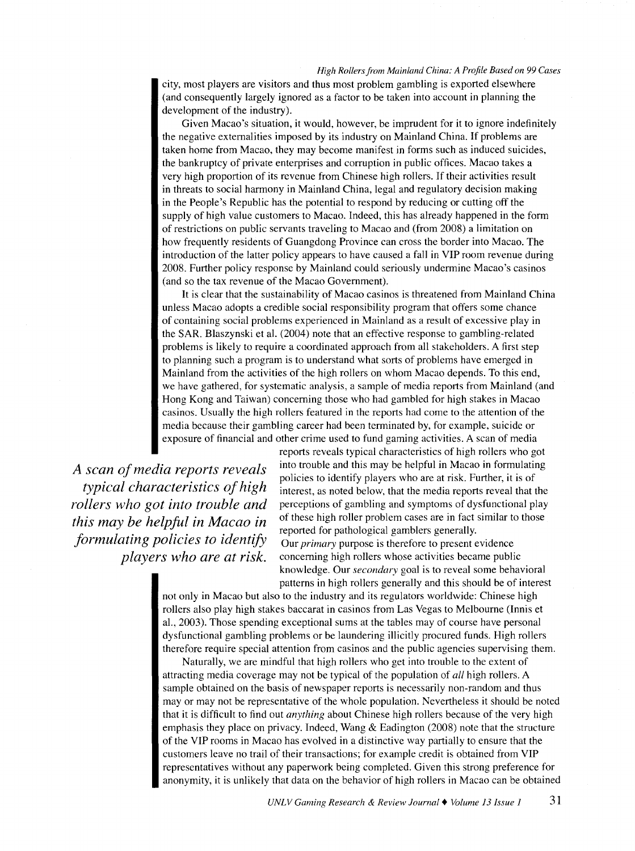city, most players are visitors and thus most problem gambling is exported elsewhere (and consequently largely ignored as a factor to be taken into account in planning the development of the industry).

Given Macao's situation, it would, however, be imprudent for it to ignore indefinitely the negative externalities imposed by its industry on Mainland China. If problems are taken home from Macao, they may become manifest in forms such as induced suicides, the bankruptcy of private enterprises and corruption in public offices. Macao takes a very high proportion of its revenue from Chinese high rollers. If their activities result in threats to social harmony in Mainland China, legal and regulatory decision making in the People's Republic has the potential to respond by reducing or cutting off the supply of high value customers to Macao. Indeed, this has already happened in the form of restrictions on public servants traveling to Macao and (from 2008) a limitation on how frequently residents of Guangdong Province can cross the border into Macao. The introduction of the latter policy appears to have caused a fall in VIP room revenue during 2008. Further policy response by Mainland could seriously undermine Macao's casinos (and so the tax revenue of the Macao Government).

It is clear that the sustainability of Macao casinos is threatened from Mainland China unless Macao adopts a credible social responsibility program that offers some chance of containing social problems experienced in Mainland as a result of excessive play in the SAR. Blaszynski et al. (2004) note that an effective response to gambling-related problems is likely to require a coordinated approach from all stakeholders. A first step to planning such a program is to understand what sorts of problems have emerged in Mainland from the activities of the high rollers on whom Macao depends. To this end, we have gathered, for systematic analysis, a sample of media reports from Mainland (and Hong Kong and Taiwan) concerning those who had gambled for high stakes in Macao casinos. Usually the high rollers featured in the reports had come to the attention of the media because their gambling career had been terminated by, for example, suicide or exposure of financial and other crime used to fund gaming activities. A scan of media

*A scan of media reports reveals typical characteristics of high rollers who got into trouble and this may be helpful in Macao in formulating policies to identify players who are at risk.* 

reports reveals typical characteristics of high rollers who got into trouble and this may be helpful in Macao in formulating policies to identify players who are at risk. Further, it is of interest, as noted below, that the media reports reveal that the perceptions of gambling and symptoms of dysfunctional play of these high roller problem cases are in fact similar to those reported for pathological gamblers generally. Our *primary* purpose is therefore to present evidence concerning high rollers whose activities became public knowledge. Our *secondary* goal is to reveal some behavioral patterns in high rollers generally and this should be of interest

not only in Macao but also to the industry and its regulators worldwide: Chinese high rollers also play high stakes baccarat in casinos from Las Vegas to Melbourne (Innis et a!., 2003). Those spending exceptional sums at the tables may of course have personal dysfunctional gambling problems or be laundering illicitly procured funds. High rollers therefore require special attention from casinos and the public agencies supervising them.

Naturally, we are mindful that high rollers who get into trouble to the extent of attracting media coverage may not be typical of the population of *all* high rollers. A sample obtained on the basis of newspaper reports is necessarily non-random and thus may or may not be representative of the whole population. Nevertheless it should be noted that it is difficult to find out *anything* about Chinese high rollers because of the very high emphasis they place on privacy. Indeed, Wang  $\&$  Eadington (2008) note that the structure of the VIP rooms in Macao has evolved in a distinctive way partially to ensure that the customers leave no trail of their transactions; for example credit is obtained from VIP representatives without any paperwork being completed. Given this strong preference for anonymity, it is unlikely that data on the behavior of high rollers in Macao can be obtained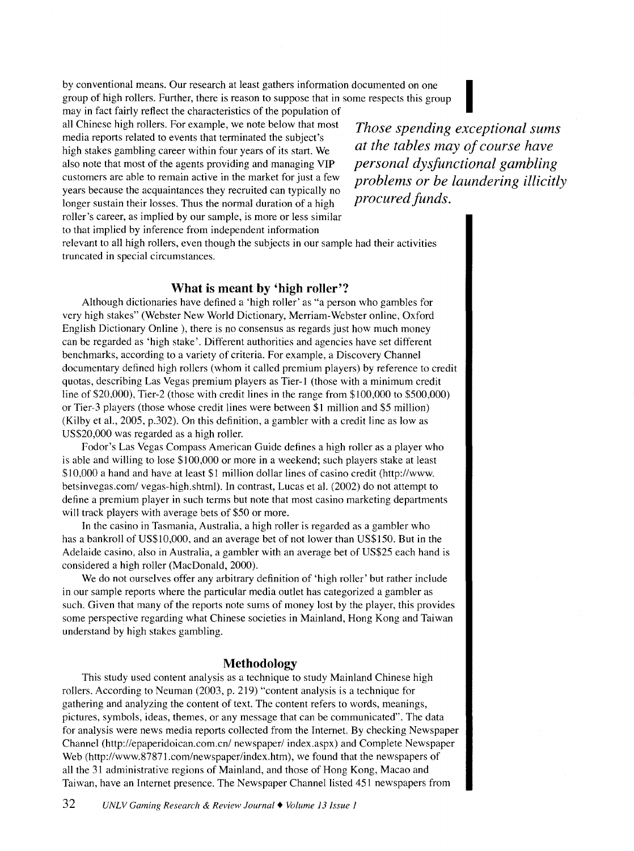by conventional means. Our research at least gathers information documented on one group of high rollers. Further, there is reason to suppose that in some respects this group by conventional means. Our research at least gathers information documented on one group of high rollers. Further, there is reason to suppose that in some respects this group may in fact fairly reflect the characteristics

all Chinese high rollers. For example, we note below that most media reports related to events that terminated the subject's high stakes gambling career within four years of its start. We also note that most of the agents providing and managing VIP customers are able to remain active in the market for just a few years because the acquaintances they recruited can typically no longer sustain their losses. Thus the normal duration of a high roller's career, as implied by our sample, is more or less similar to that implied by inference from independent information

*Those spending exceptional sums at the tables may of course have personal dysfunctional gambling problems or be laundering illicitly procured funds.* 

relevant to all high rollers, even though the subjects in our sample had their activities truncated in special circumstances.

#### **What is meant by 'high roller'?**

Although dictionaries have defined a 'high roller' as "a person who gambles for very high stakes" (Webster New World Dictionary, Merriam-Webster online, Oxford English Dictionary Online ), there is no consensus as regards just how much money can be regarded as 'high stake'. Different authorities and agencies have set different benchmarks, according to a variety of criteria. For example, a Discovery Channel documentary defined high rollers (whom it called premium players) by reference to credit quotas, describing Las Vegas premium players as Tier-1 (those with a minimum credit line of \$20,000), Tier-2 (those with credit lines in the range from \$100,000 to \$500,000) or Tier-3 players (those whose credit lines were between \$1 million and \$5 million) (Kilby et al., 2005, p.302). On this definition, a gambler with a credit line as low as US\$20,000 was regarded as a high roller.

Fodor's Las Vegas Compass American Guide defines a high roller as a player who is able and willing to lose \$100,000 or more in a weekend; such players stake at least \$10,000 a hand and have at least \$1 million dollar lines of casino credit (http://www. betsinvegas.com/ vegas-high.shtml). In contrast, Lucas et al. (2002) do not attempt to define a premium player in such terms but note that most casino marketing departments will track players with average bets of \$50 or more.

In the casino in Tasmania, Australia, a high roller is regarded as a gambler who has a bankroll of US\$10,000, and an average bet of not lower than US\$150. But in the Adelaide casino, also in Australia, a gambler with an average bet of US\$25 each hand is considered a high roller (MacDonald, 2000).

We do not ourselves offer any arbitrary definition of 'high roller' but rather include in our sample reports where the particular media outlet has categorized a gambler as such. Given that many of the reports note sums of money lost by the player, this provides some perspective regarding what Chinese societies in Mainland, Hong Kong and Taiwan understand by high stakes gambling.

#### **Methodology**

This study used content analysis as a technique to study Mainland Chinese high rollers. According to Neuman (2003, p. 219) "content analysis is a technique for gathering and analyzing the content of text. The content refers to words, meanings, pictures, symbols, ideas, themes, or any message that can be communicated". The data for analysis were news media reports collected from the Internet. By checking Newspaper Channel (http://epaperidoican.com.cn/ newspaper/ index.aspx) and Complete Newspaper Web (http://www.87871.com/newspaper/index.htm), we found that the newspapers of all the 31 administrative regions of Mainland, and those of Hong Kong, Macao and Taiwan, have an Internet presence. The Newspaper Channel listed 451 newspapers from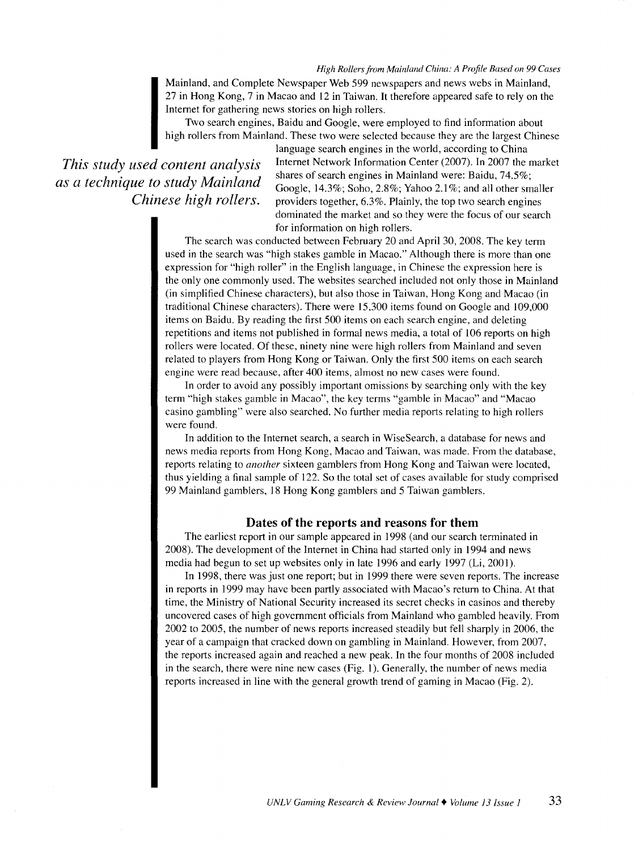Mainland, and Complete Newspaper Web 599 newspapers and news webs in Mainland, 27 in Hong Kong, 7 in Macao and I2 in Taiwan. It therefore appeared safe to rely on the Internet for gathering news stories on high rollers.

Two search engines, Baidu and Google, were employed to find information about high rollers from Mainland. These two were selected because they are the largest Chinese

# *This study used content analysis as a technique to study Mainland Chinese high rollers.*

language search engines in the world, according to China Internet Network Information Center (2007). In 2007 the market shares of search engines in Mainland were: Baidu, 74.5%; Google, I4.3%; Soho, 2.8%; Yahoo 2.I %; and all other smaller providers together, 6.3%. Plainly, the top two search engines dominated the market and so they were the focus of our search for information on high rollers.

The search was conducted between February 20 and April 30, 2008. The key term used in the search was "high stakes gamble in Macao." Although there is more than one expression for "high roller" in the English language, in Chinese the expression here is the only one commonly used. The websites searched included not only those in Mainland (in simplified Chinese characters), but also those in Taiwan, Hong Kong and Macao (in traditional Chinese characters). There were I5,300 items found on Google and 109,000 items on Baidu. By reading the first 500 items on each search engine, and deleting repetitions and items not published in formal news media, a total of 106 reports on high rollers were located. Of these, ninety nine were high rollers from Mainland and seven related to players from Hong Kong or Taiwan. Only the first 500 items on each search engine were read because, after 400 items, almost no new cases were found.

In order to avoid any possibly important omissions by searching only with the key term "high stakes gamble in Macao", the key terms "gamble in Macao" and "Macao casino gambling" were also searched. No further media reports relating to high rollers were found.

In addition to the Internet search, a search in WiseSearch, a database for news and news media reports from Hong Kong, Macao and Taiwan, was made. From the database, reports relating to *another* sixteen gamblers from Hong Kong and Taiwan were located, thus yielding a final sample of 122. So the total set of cases available for study comprised 99 Mainland gamblers, 18 Hong Kong gamblers and 5 Taiwan gamblers.

#### **Dates of the reports and reasons for them**

The earliest report in our sample appeared in I998 (and our search terminated in 2008). The development of the Internet in China had started only in I994 and news media had begun to set up websites only in late 1996 and early 1997 (Li, 2001).

In 1998, there was just one report; but in 1999 there were seven reports. The increase in reports in I999 may have been partly associated with Macao's return to China. At that time, the Ministry of National Security increased its secret checks in casinos and thereby uncovered cases of high government officials from Mainland who gambled heavily. From 2002 to 2005, the number of news reports increased steadily but fell sharply in 2006, the year of a campaign that cracked down on gambling in Mainland. However, from 2007, the reports increased again and reached a new peak. In the four months of 2008 included in the search, there were nine new cases (Fig. I). Generally, the number of news media reports increased in line with the general growth trend of gaming in Macao (Fig. 2).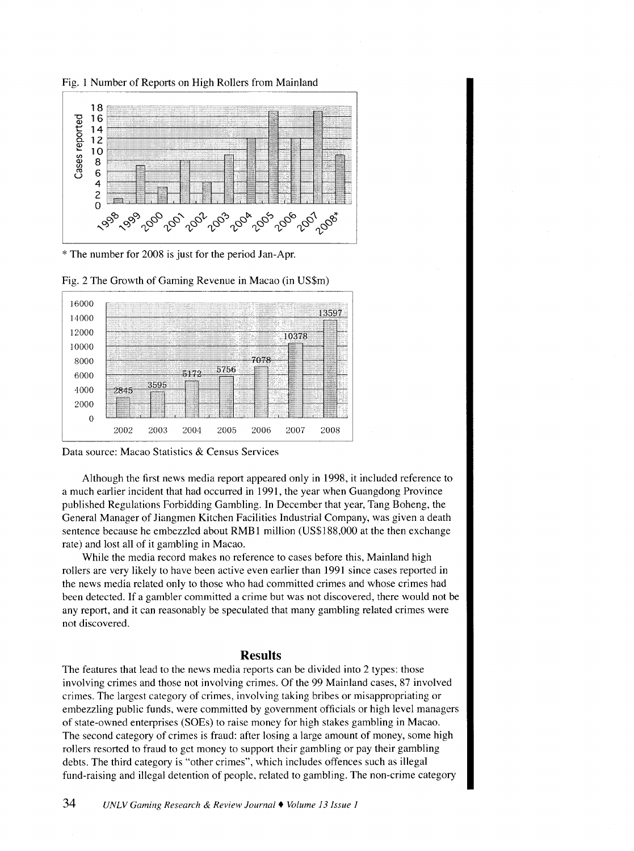Fig. 1 Number of Reports on High Rollers from Mainland



\*The number for 2008 is just for the period Jan-Apr.



Fig. 2 The Growth of Gaming Revenue in Macao (in US\$m)

Although the first news media report appeared only in 1998, it included reference to a much earlier incident that had occurred in 1991, the year when Guangdong Province published Regulations Forbidding Gambling. In December that year, Tang Boheng, the General Manager of Jiangmen Kitchen Facilities Industrial Company, was given a death sentence because he embezzled about RMB1 million (US\$188,000 at the then exchange rate) and lost all of it gambling in Macao.

While the media record makes no reference to cases before this, Mainland high rollers are very likely to have been active even earlier than 1991 since cases reported in the news media related only to those who had committed crimes and whose crimes had been detected. If a gambler committed a crime but was not discovered, there would not be any report, and it can reasonably be speculated that many gambling related crimes were not discovered.

#### **Results**

The features that lead to the news media reports can be divided into 2 types: those involving crimes and those not involving crimes. Of the 99 Mainland cases, 87 involved crimes. The largest category of crimes, involving taking bribes or misappropriating or embezzling public funds, were committed by government officials or high level managers of state-owned enterprises (SOEs) to raise money for high stakes gambling in Macao. The second category of crimes is fraud: after losing a large amount of money, some high rollers resorted to fraud to get money to support their gambling or pay their gambling debts. The third category is "other crimes", which includes offences such as illegal fund-raising and illegal detention of people, related to gambling. The non-crime category

Data source: Macao Statistics & Census Services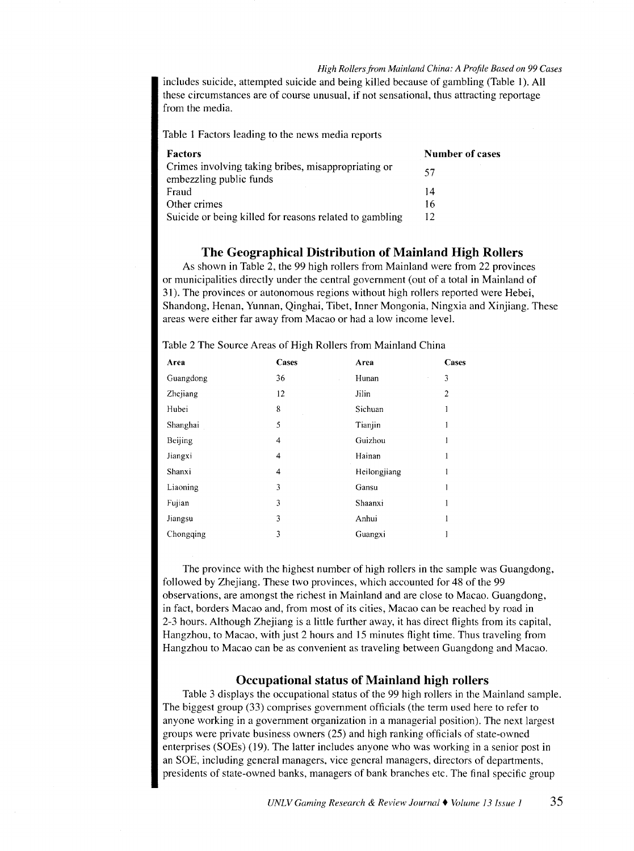includes suicide, attempted suicide and being killed because of gambling (Table I). All these circumstances are of course unusual, if not sensational, thus attracting reportage from the media.

Table 1 Factors leading to the news media reports

| <b>Factors</b>                                          | <b>Number of cases</b> |
|---------------------------------------------------------|------------------------|
| Crimes involving taking bribes, misappropriating or     | 57                     |
| embezzling public funds                                 |                        |
| Fraud                                                   | 14                     |
| Other crimes                                            | 16                     |
| Suicide or being killed for reasons related to gambling | 12                     |

#### **The Geographical Distribution of Mainland High Rollers**

As shown in Table 2, the 99 high rollers from Mainland were from 22 provinces or municipalities directly under the central government (out of a total in Mainland of 31). The provinces or autonomous regions without high rollers reported were Hebei, Shandong, Henan, Yunnan, Qinghai, Tibet, Inner Mongonia, Ningxia and Xinjiang. These areas were either far away from Macao or had a low income level.

| Area      | Cases | Area    | Cases          |
|-----------|-------|---------|----------------|
| Guangdong | 36    | Hunan   | 3              |
| Zhejiang  | 12    | Jilin   | $\overline{c}$ |
| Hubei     | 8     | Sichuan |                |
| Shanghai  | 5     | Tianjin |                |
| Beijing   | 4     | Guizhou |                |

Table 2 The Source Areas of High Rollers from Mainland China

Jiangxi 4 Hainan Shanxi 4 Heilongjiang Liaoning 3 Gansu Fujian 3 Shaanxi Jiangsu 3 Anhui Chongqing 3 Guangxi

The province with the highest number of high rollers in the sample was Guangdong, followed by Zhejiang. These two provinces, which accounted for 48 of the 99 observations, are amongst the richest in Mainland and are close to Macao. Guangdong, in fact, borders Macao and, from most of its cities, Macao can be reached by road in 2-3 hours. Although Zhejiang is a little further away, it has direct flights from its capital, Hangzhou, to Macao, with just 2 hours and 15 minutes flight time. Thus traveling from Hangzhou to Macao can be as convenient as traveling between Guangdong and Macao.

#### **Occupational status of Mainland high rollers**

Table 3 displays the occupational status of the 99 high rollers in the Mainland sample. The biggest group (33) comprises government officials (the term used here to refer to anyone working in a government organization in a managerial position). The next largest groups were private business owners (25) and high ranking officials of state-owned enterprises (SOEs) (19). The latter includes anyone who was working in a senior post in an SOE, including general managers, vice general managers, directors of departments, presidents of state-owned banks, managers of bank branches etc. The final specific group

 $\mathbf{1}$  $\overline{1}$  $\overline{1}$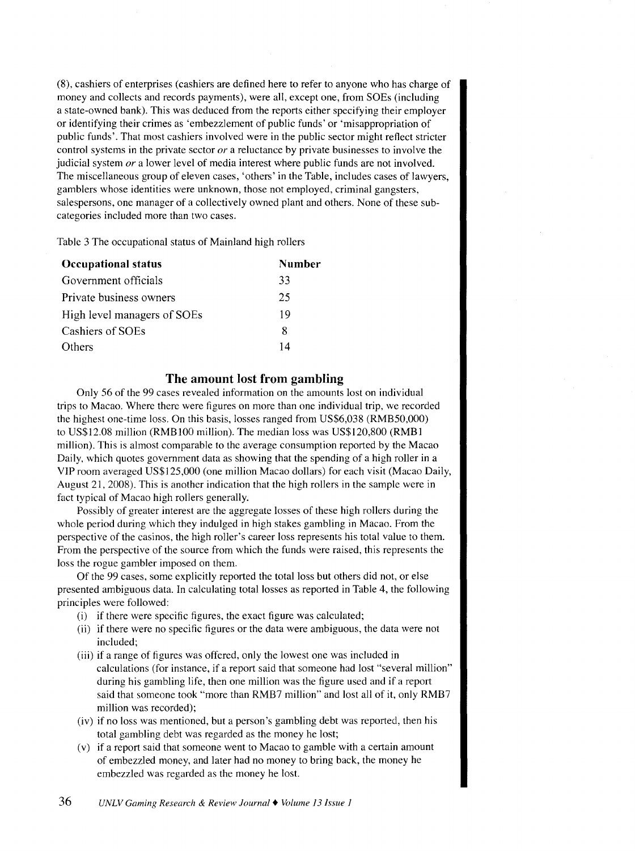(8), cashiers of enterprises (cashiers are defined here to refer to anyone who has charge of money and collects and records payments), were all, except one, from SOEs (including a state-owned bank). This was deduced from the reports either specifying their employer or identifying their crimes as 'embezzlement of public funds' or 'misappropriation of public funds'. That most cashiers involved were in the public sector might reflect stricter control systems in the private sector *or* a reluctance by private businesses to involve the judicial system *or* a lower level of media interest where public funds are not involved. The miscellaneous group of eleven cases, 'others' in the Table, includes cases of lawyers, gamblers whose identities were unknown, those not employed, criminal gangsters, salespersons, one manager of a collectively owned plant and others. None of these subcategories included more than two cases.

Table 3 The occupational status of Mainland high rollers

| <b>Occupational status</b>  | Number |
|-----------------------------|--------|
| Government officials        | 33     |
| Private business owners     | 25     |
| High level managers of SOEs | 19     |
| Cashiers of SOEs            | 8      |
| <b>Others</b>               | 14     |

### **The amount lost from gambling**

Only 56 of the 99 cases revealed information on the amounts lost on individual trips to Macao. Where there were figures on more than one individual trip, we recorded the highest one-time loss. On this basis, losses ranged from US\$6,038 (RMB50,000) to US\$12.08 million (RMBIOO million). The median loss was US\$120,800 (RMBI million). This is almost comparable to the average consumption reported by the Macao Daily, which quotes government data as showing that the spending of a high roller in a YIP room averaged US\$125,000 (one million Macao dollars) for each visit (Macao Daily, August 21, 2008). This is another indication that the high rollers in the sample were in fact typical of Macao high rollers generally.

Possibly of greater interest are the aggregate losses of these high rollers during the whole period during which they indulged in high stakes gambling in Macao. From the perspective of the casinos, the high roller's career loss represents his total value to them. From the perspective of the source from which the funds were raised, this represents the loss the rogue gambler imposed on them.

Of the 99 cases, some explicitly reported the total loss but others did not, or else presented ambiguous data. In calculating total losses as reported in Table 4, the following principles were followed:

- (i) if there were specific figures, the exact figure was calculated;
- (ii) if there were no specific figures or the data were ambiguous, the data were not included;
- (iii) if a range of figures was offered, only the lowest one was included in calculations (for instance, if a report said that someone had lost "several million" during his gambling life, then one million was the figure used and if a report said that someone took "more than RMB7 million" and lost all of it, only RMB7 million was recorded);
- (iv) if no loss was mentioned, but a person's gambling debt was reported, then his total gambling debt was regarded as the money he lost;
- (v) if a report said that someone went to Macao to gamble with a certain amount of embezzled money, and later had no money to bring back, the money he embezzled was regarded as the money he lost.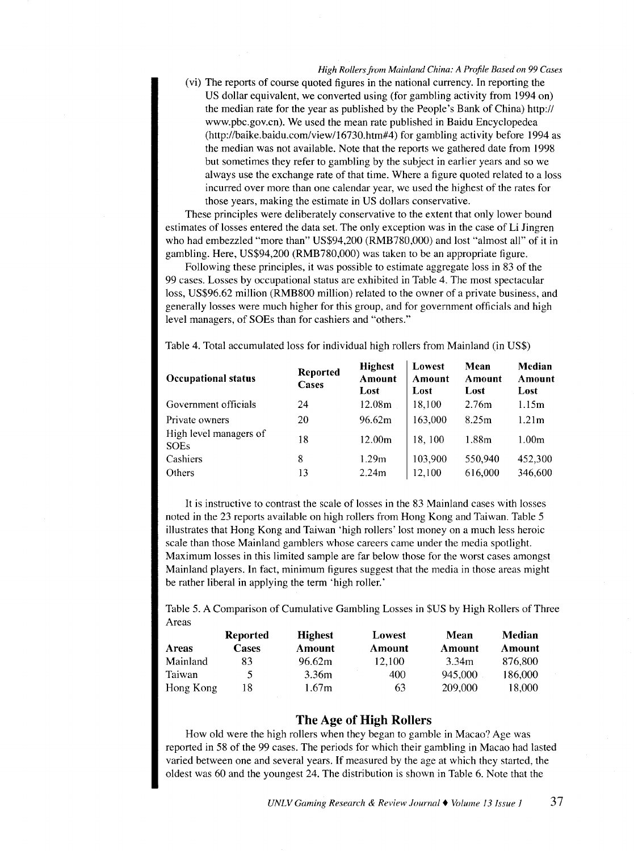(vi) The reports of course quoted figures in the national currency. In reporting the US dollar equivalent, we converted using (for gambling activity from 1994 on) the median rate for the year as published by the People's Bank of China) http:// www.pbc.gov.cn). We used the mean rate published in Baidu Encyclopedea (http://baike.baidu.com/view/16730.htm#4) for gambling activity before 1994 as the median was not available. Note that the reports we gathered date from 1998 but sometimes they refer to gambling by the subject in earlier years and so we always use the exchange rate of that time. Where a figure quoted related to a loss incurred over more than one calendar year, we used the highest of the rates for those years, making the estimate in US dollars conservative.

These principles were deliberately conservative to the extent that only lower bound estimates of losses entered the data set. The only exception was in the case of Li Jingren who had embezzled "more than" US\$94,200 (RMB780,000) and lost "almost all" of it in gambling. Here, US\$94,200 (RMB780,000) was taken to be an appropriate figure.

Following these principles, it was possible to estimate aggregate loss in 83 of the 99 cases. Losses by occupational status are exhibited in Table 4. The most spectacular loss, US\$96.62 million (RMB800 million) related to the owner of a private business, and generally losses were much higher for this group, and for government officials and high level managers, of SOEs than for cashiers and "others."

Table 4. Total accumulated loss for individual high rollers from Mainland (in US\$)

| <b>Occupational status</b>            | <b>Reported</b><br>Cases | <b>Highest</b><br>Amount<br>Lost | Lowest<br>Amount<br>Lost | Mean<br>Amount<br>Lost | Median<br>Amount<br>Lost |
|---------------------------------------|--------------------------|----------------------------------|--------------------------|------------------------|--------------------------|
| Government officials                  | 24                       | 12.08m                           | 18.100                   | 2.76m                  | 1.15m                    |
| Private owners                        | 20                       | 96.62m                           | 163.000                  | 8.25m                  | 1.21 <sub>m</sub>        |
| High level managers of<br><b>SOEs</b> | 18                       | 12.00m                           | 18, 100                  | 1.88m                  | 1.00 <sub>m</sub>        |
| Cashiers                              | 8                        | 1.29m                            | 103,900                  | 550,940                | 452,300                  |
| Others                                | 13                       | 2.24m                            | 12.100                   | 616,000                | 346,600                  |

It is instructive to contrast the scale of losses in the 83 Mainland cases with losses noted in the 23 reports available on high rollers from Hong Kong and Taiwan. Table 5 illustrates that Hong Kong and Taiwan 'high rollers' lost money on a much less heroic scale than those Mainland gamblers whose careers came under the media spotlight. Maximum losses in this limited sample are far below those for the worst cases amongst Mainland players. In fact, minimum figures suggest that the media in those areas might be rather liberal in applying the term 'high roller.'

Table 5. A Comparison of Cumulative Gambling Losses in \$US by High Rollers of Three Areas

|           | <b>Reported</b> | <b>Highest</b> | Lowest | Mean    | Median  |
|-----------|-----------------|----------------|--------|---------|---------|
| Areas     | <b>Cases</b>    | Amount         | Amount | Amount  | Amount  |
| Mainland  | 83              | 96.62m         | 12.100 | 3.34m   | 876.800 |
| Taiwan    | C.              | 3.36m          | 400    | 945.000 | 186.000 |
| Hong Kong | 18              | 1.67m          | 63     | 209,000 | 18.000  |

#### The Age of High Rollers

How old were the high rollers when they began to gamble in Macao? Age was reported in 58 of the 99 cases. The periods for which their gambling in Macao had lasted varied between one and several years. If measured by the age at which they started, the oldest was 60 and the youngest 24. The distribution is shown in Table 6. Note that the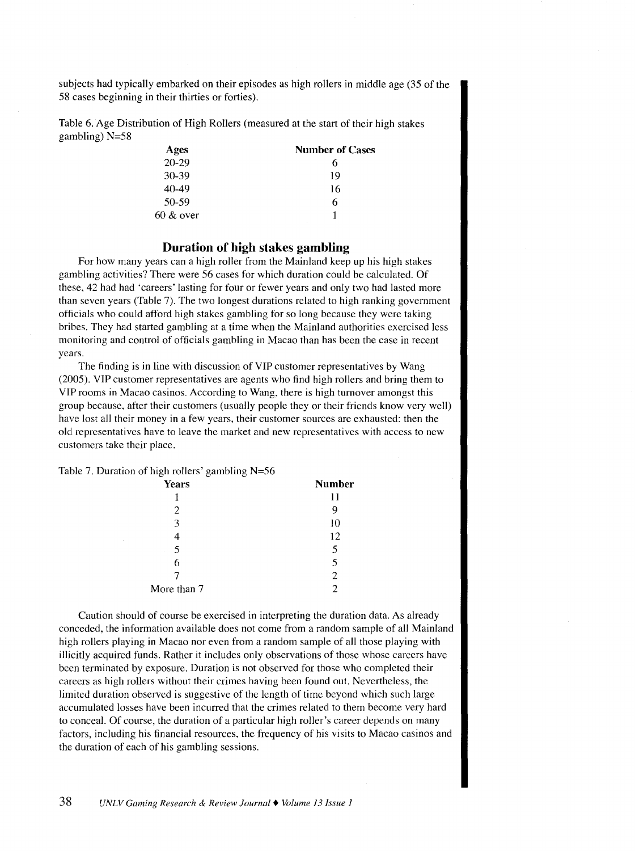subjects had typically embarked on their episodes as high rollers in middle age (35 of the 58 cases beginning in their thirties or forties).

Table 6. Age Distribution of High Rollers (measured at the start of their high stakes gambling) N=58

| Ages         | <b>Number of Cases</b> |
|--------------|------------------------|
| $20 - 29$    | 6                      |
| 30-39        | 19                     |
| 40-49        | 16                     |
| 50-59        | 6                      |
| $60 \& over$ |                        |

#### **Duration of high stakes gambling**

For how many years can a high roller from the Mainland keep up his high stakes gambling activities? There were 56 cases for which duration could be calculated. Of these, 42 had had 'careers' lasting for four or fewer years and only two had lasted more than seven years (Table 7). The two longest durations related to high ranking government officials who could afford high stakes gambling for so long because they were taking bribes. They had started gambling at a time when the Mainland authorities exercised less monitoring and control of officials gambling in Macao than has been the case in recent years.

The finding is in line with discussion of VIP customer representatives by Wang (2005). VIP customer representatives are agents who find high rollers and bring them to VIP rooms in Macao casinos. According to Wang, there is high turnover amongst this group because, after their customers (usually people they or their friends know very well) have lost all their money in a few years, their customer sources are exhausted: then the old representatives have to leave the market and new representatives with access to new customers take their place.

Table 7. Duration of high rollers' gambling N=56

| ÷<br>$\tilde{\phantom{a}}$<br>÷ |               |
|---------------------------------|---------------|
| <b>Years</b>                    | <b>Number</b> |
|                                 | 11            |
| 2                               | 9             |
| 3                               | 10            |
|                                 | 12            |
| 5                               | 5             |
| 6                               | 5             |
|                                 |               |
| More than 7                     |               |
|                                 |               |

Caution should of course be exercised in interpreting the duration data. As already conceded, the information available does not come from a random sample of all Mainland high rollers playing in Macao nor even from a random sample of all those playing with illicitly acquired funds. Rather it includes only observations of those whose careers have been terminated by exposure. Duration is not observed for those who completed their careers as high rollers without their crimes having been found out. Nevertheless, the limited duration observed is suggestive of the length of time beyond which such large accumulated losses have been incurred that the crimes related to them become very hard to conceal. Of course, the duration of a particular high roller's career depends on many factors, including his financial resources, the frequency of his visits to Macao casinos and the duration of each of his gambling sessions.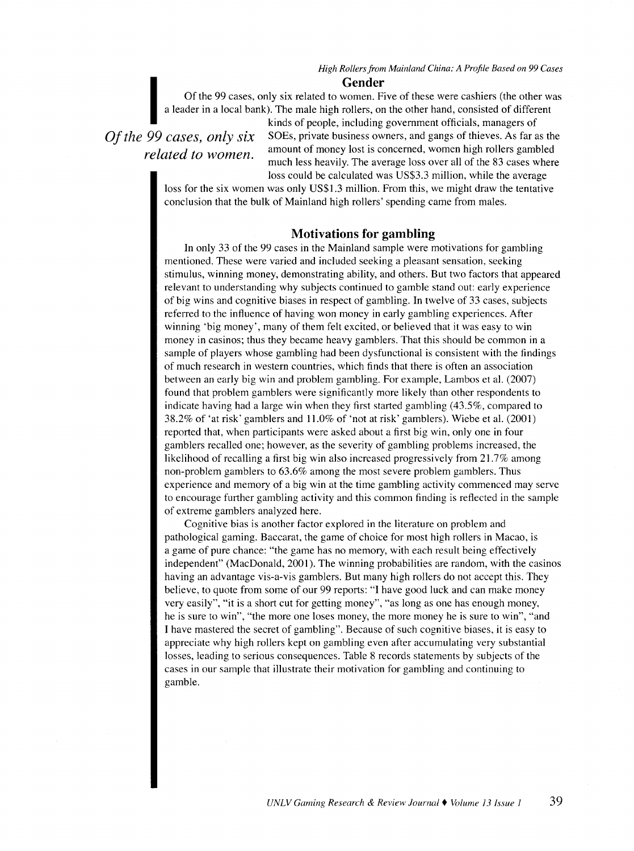**Gender**<br>
Of the 99 cases, only six related to women. Fiver<br>
a leader in a local bank). The male high rollers, on<br>
kinds of people, including a<br>
OC consection of the SOEs private business our Of the 99 cases, only six related to women. Five of these were cashiers (the other was a leader in a local bank). The male high rollers, on the other hand, consisted of different

*related to women.* 

kinds of people, including government officials, managers of *Of the 99 cases, only six* SOEs, private business owners, and gangs of thieves. As far as the amount of money lost is concerned, women high rollers gambled much less heavily. The average loss over all of the 83 cases where loss could be calculated was US\$3.3 million, while the average

loss for the six women was only US\$1.3 million. From this, we might draw the tentative conclusion that the bulk of Mainland high rollers' spending came from males.

#### **Motivations for gambling**

In only 33 of the 99 cases in the Mainland sample were motivations for gambling mentioned. These were varied and included seeking a pleasant sensation, seeking stimulus, winning money, demonstrating ability, and others. But two factors that appeared relevant to understanding why subjects continued to gamble stand out: early experience of big wins and cognitive biases in respect of gambling. In twelve of 33 cases, subjects referred to the influence of having won money in early gambling experiences. After winning 'big money', many of them felt excited, or believed that it was easy to win money in casinos; thus they became heavy gamblers. That this should be common in a sample of players whose gambling had been dysfunctional is consistent with the findings of much research in western countries, which finds that there is often an association between an early big win and problem gambling. For example, Lambos et a!. (2007) found that problem gamblers were significantly more likely than other respondents to indicate having had a large win when they first started gambling (43.5%, compared to 38.2% of 'at risk' gamblers and 11.0% of 'not at risk' gamblers). Wiebe et al. (2001) reported that, when participants were asked about a first big win, only one in four gamblers recalled one; however, as the severity of gambling problems increased, the likelihood of recalling a first big win also increased progressively from 21.7% among non-problem gamblers to 63.6% among the most severe problem gamblers. Thus experience and memory of a big win at the time gambling activity commenced may serve to encourage further gambling activity and this common finding is reflected in the sample of extreme gamblers analyzed here.

Cognitive bias is another factor explored in the literature on problem and pathological gaming. Baccarat, the game of choice for most high rollers in Macao, is a game of pure chance: "the game has no memory, with each result being effectively independent" (MacDonald, 2001). The winning probabilities are random, with the casinos having an advantage vis-a-vis gamblers. But many high rollers do not accept this. They believe, to quote from some of our 99 reports: "I have good luck and can make money very easily", "it is a short cut for getting money", "as long as one has enough money, he is sure to win", "the more one loses money, the more money he is sure to win", ·'and I have mastered the secret of gambling". Because of such cognitive biases, it is easy to appreciate why high rollers kept on gambling even after accumulating very substantial losses, leading to serious consequences. Table 8 records statements by subjects of the cases in our sample that illustrate their motivation for gambling and continuing to gamble.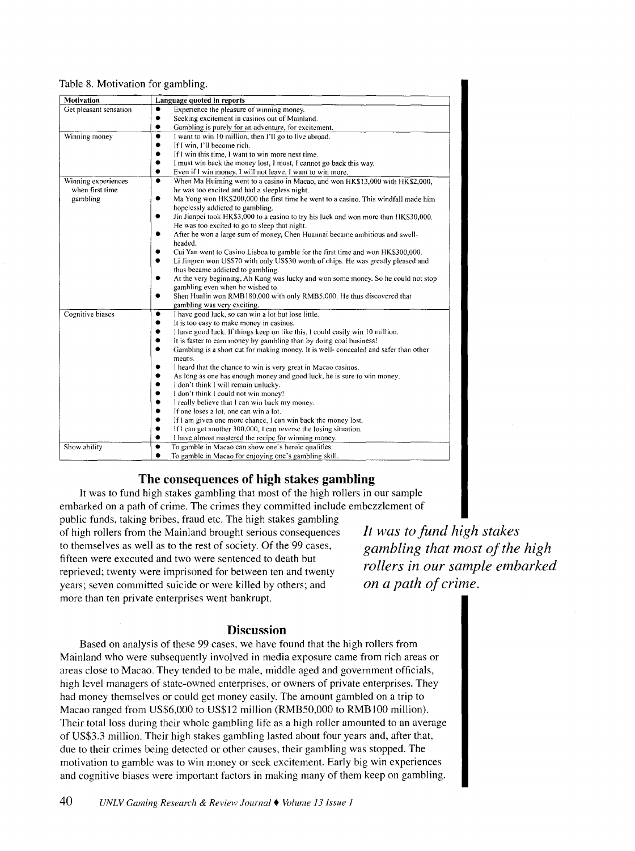#### Table 8. Motivation for gambling.

| Experience the pleasure of winning money.<br>٠                                            |
|-------------------------------------------------------------------------------------------|
| Seeking excitement in casinos out of Mainland.                                            |
| Gambling is purely for an adventure, for excitement.<br>$\bullet$                         |
| I want to win 10 million, then I'll go to live abroad.<br>٠                               |
| If I win, I'll become rich.<br>٠                                                          |
| If I win this time, I want to win more next time.                                         |
| $\bullet$<br>I must win back the money lost, I must, I cannot go back this way.           |
| Even if I win money, I will not leave, I want to win more.                                |
| When Ma Huiming went to a casino in Macao, and won HK\$13,000 with HK\$2,000,<br>٠        |
| he was too excited and had a sleepless night.                                             |
| Ma Yong won HK\$200,000 the first time he went to a casino. This windfall made him<br>٠   |
| hopelessly addicted to gambling.                                                          |
| Jin Jianpei took HK\$3,000 to a casino to try his luck and won more than HK\$30,000.      |
| He was too excited to go to sleep that night.                                             |
| After he won a large sum of money, Chen Huannai became ambitious and swell-               |
| headed.                                                                                   |
| Cui Yan went to Casino Lisboa to gamble for the first time and won HK\$300,000.<br>0      |
| Li Jingren won US\$70 with only US\$30 worth of chips. He was greatly pleased and         |
| thus became addicted to gambling.                                                         |
| At the very beginning, Ah Kang was lucky and won some money. So he could not stop<br>٠    |
| gambling even when he wished to.                                                          |
| Shen Hualin won RMB180,000 with only RMB5,000. He thus discovered that                    |
| gambling was very exciting.                                                               |
| I have good luck, so can win a lot but lose little.<br>٠                                  |
| It is too easy to make money in casinos.<br>٠                                             |
| I have good luck. If things keep on like this, I could easily win 10 million.             |
| It is faster to earn money by gambling than by doing coal business!<br>۰                  |
| Gambling is a short cut for making money. It is well- concealed and safer than other<br>۰ |
| means.                                                                                    |
| I heard that the chance to win is very great in Macao casinos.                            |
| As long as one has enough money and good luck, he is sure to win money.                   |
| I don't think I will remain unlucky.<br>۰                                                 |
| I don't think I could not win money!                                                      |
| I really believe that I can win back my money.                                            |
| If one loses a lot, one can win a lot.                                                    |
| If I am given one more chance, I can win back the money lost.<br>٠                        |
| If I can get another 300,000, I can reverse the losing situation.                         |
| I have almost mastered the recipe for winning money.<br>0                                 |
| To gamble in Macao can show one's heroic qualities.                                       |
| To gamble in Macao for enjoying one's gambling skill.                                     |
|                                                                                           |

### The consequences of high stakes gambling

It was to fund high stakes gambling that most of the high rollers in our sample embarked on a path of crime. The crimes they committed include embezzlement of

public funds, taking bribes, fraud etc. The high stakes gambling of high rollers from the Mainland brought serious consequences to themselves as well as to the rest of society. Of the 99 cases, fifteen were executed and two were sentenced to death but reprieved; twenty were imprisoned for between ten and twenty years; seven committed suicide or were killed by others; and more than ten private enterprises went bankrupt.

*It was to fund high stakes gambling that most of the high rollers in our sample embarked on a path of crime.* 

#### **Discussion**

Based on analysis of these 99 cases, we have found that the high rollers from Mainland who were subsequently involved in media exposure came from rich areas or areas close to Macao. They tended to be male, middle aged and government officials, high level managers of state-owned enterprises, or owners of private enterprises. They had money themselves or could get money easily. The amount gambled on a trip to Macao ranged from US\$6,000 to US\$12 million (RMB50,000 to RMBIOO million). Their total loss during their whole gambling life as a high roller amounted to an average of US\$3.3 million. Their high stakes gambling lasted about four years and, after that, due to their crimes being detected or other causes, their gambling was stopped. The motivation to gamble was to win money or seek excitement. Early big win experiences and cognitive biases were important factors in making many of them keep on gambling.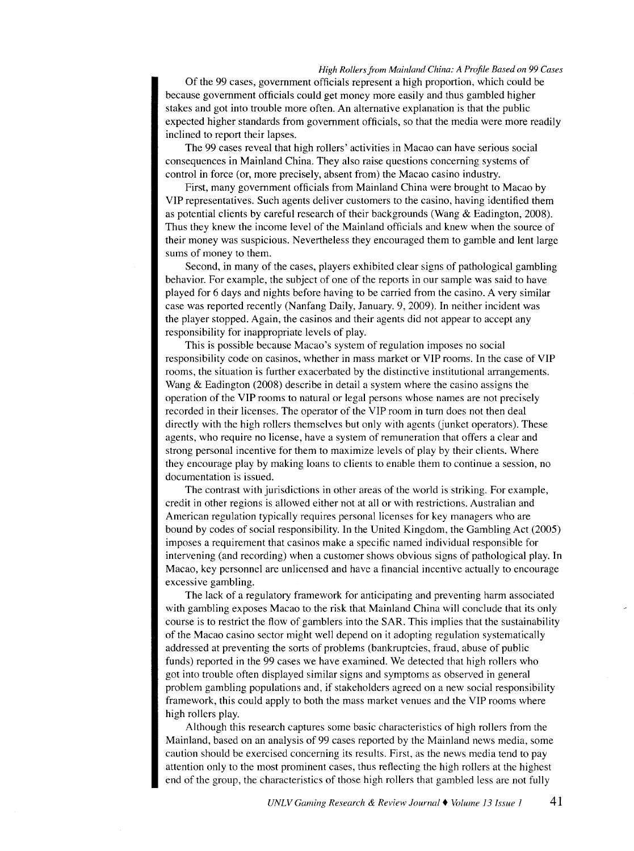Of the 99 cases, government officials represent a high proportion, which could be because government officials could get money more easily and thus gambled higher stakes and got into trouble more often. An alternative explanation is that the public expected higher standards from government officials, so that the media were more readily inclined to report their lapses.

The 99 cases reveal that high rollers' activities in Macao can have serious social consequences in Mainland China. They also raise questions concerning systems of control in force (or, more precisely, absent from) the Macao casino industry.

First, many government officials from Mainland China were brought to Macao by VIP representatives. Such agents deliver customers to the casino, having identified them as potential clients by careful research of their backgrounds (Wang & Eadington, 2008). Thus they knew the income level of the Mainland officials and knew when the source of their money was suspicious. Nevertheless they encouraged them to gamble and lent large sums of money to them.

Second, in many of the cases, players exhibited clear signs of pathological gambling behavior. For example, the subject of one of the reports in our sample was said to have played for 6 days and nights before having to be carried from the casino. A very similar case was reported recently (Nanfang Daily, January. 9, 2009). In neither incident was the player stopped. Again, the casinos and their agents did not appear to accept any responsibility for inappropriate levels of play.

This is possible because Macao's system of regulation imposes no social responsibility code on casinos, whether in mass market or VIP rooms. In the case of VIP rooms, the situation is further exacerbated by the distinctive institutional arrangements. Wang & Eadington (2008) describe in detail a system where the casino assigns the operation of the VIP rooms to natural or legal persons whose names are not precisely recorded in their licenses. The operator of the VIP room in turn does not then deal directly with the high rollers themselves but only with agents (junket operators). These agents, who require no license, have a system of remuneration that offers a clear and strong personal incentive for them to maximize levels of play by their clients. Where they encourage play by making loans to clients to enable them to continue a session, no documentation is issued.

The contrast with jurisdictions in other areas of the world is striking. For example, credit in other regions is allowed either not at all or with restrictions. Australian and American regulation typically requires personal licenses for key managers who are bound by codes of social responsibility. In the United Kingdom, the Gambling Act (2005) imposes a requirement that casinos make a specific named individual responsible for intervening (and recording) when a customer shows obvious signs of pathological play. In Macao, key personnel are unlicensed and have a financial incentive actually to encourage excessive gambling.

The lack of a regulatory framework for anticipating and preventing harm associated with gambling exposes Macao to the risk that Mainland China will conclude that its only course is to restrict the flow of gamblers into the SAR. This implies that the sustainability of the Macao casino sector might well depend on it adopting regulation systematically addressed at preventing the sorts of problems (bankruptcies, fraud, abuse of public funds) reported in the 99 cases we have examined. We detected that high rollers who got into trouble often displayed similar signs and symptoms as observed in general problem gambling populations and, if stakeholders agreed on a new social responsibility framework, this could apply to both the mass market venues and the VIP rooms where high rollers play.

Although this research captures some basic characteristics of high rollers from the Mainland, based on an analysis of 99 cases reported by the Mainland news media, some caution should be exercised concerning its results. First, as the news media tend to pay attention only to the most prominent cases, thus reflecting the high rollers at the highest end of the group, the characteristics of those high rollers that gambled less are not fully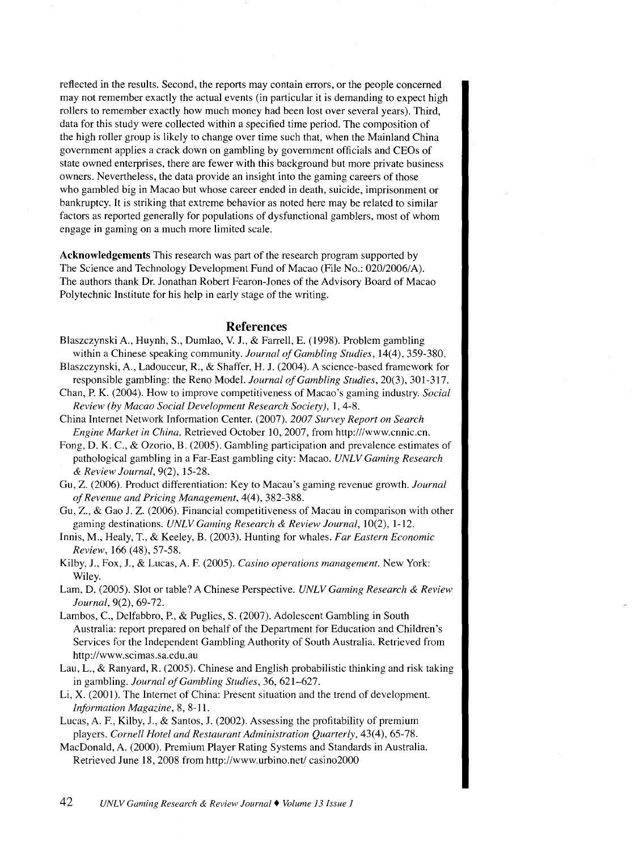reflected in the results. Second, the reports may contain errors, or the people concerned may not remember exactly the actual events (in particular it is demanding to expect high rollers to remember exactly how much money had been lost over several years). Third, data for this study were collected within a specified time period. The composition of the high roller group is likely to change over time such that, when the Mainland China government applies a crack down on gambling by government officials and CEOs of state owned enterprises, there are fewer with this background but more private business owners. Nevertheless, the data provide an insight into the gaming careers of those who gambled big in Macao but whose career ended in death, suicide, imprisonment or bankruptcy. It is striking that extreme behavior as noted here may be related to similar factors as reported generally for populations of dysfunctional gamblers, most of whom engage in gaming on a much more limited scale.

**Acknowledgements** This research was part of the research program supported by The Science and Technology Development Fund of Macao (File No.: 020/2006/A). The authors thank Dr. Jonathan Robert Fearon-Jones of the Advisory Board of Macao Polytechnic Institute for his help in early stage of the writing.

#### **References**

- Blaszczynski A., Huynh, S., Dumlao, V. J., & Farrell, E. ( 1998). Problem gambling within a Chinese speaking community. *Journal of Gambling Studies,* 14(4), 359-380.
- Blaszczynski, A., Ladouceur, R., & Shaffer, H. J. (2004). A science-based framework for responsible gambling: the Reno Model. *Journal of Gambling Studies,* 20(3), 301-317.
- Chan, P. K. (2004 ). How to improve competitiveness of Macao's gaming industry. *Social Review (by Macao Social Development Research Society),* 1, 4-8.
- China Internet Network Information Center. (2007). *2007 Survey Report on Search Engine Market in China.* Retrieved October 10,2007, from http:///www.cnnic.cn.
- Fong, D. K. C., & Ozorio, B. (2005). Gambling participation and prevalence estimates of pathological gambling in a Far-East gambling city: Macao. *UNLV Gaming Research*  & *Review Journal,* 9(2), 15-28.
- Gu, Z. (2006). Product differentiation: Key to Macau's gaming revenue growth. *Journal of Revenue and Pricing Management,* 4(4), 382-388.
- Gu, Z., & Gao J. Z. (2006). Financial competitiveness of Macau in comparison with other gaming destinations. *UNLV Gaming Research & Review Journal*, 10(2), 1-12.
- Innis, M., Healy, T., & Keeley, B. (2003). Hunting for whales. *Far Eastern Economic Review,* 166 (48), 57-58.
- Kilby, J., Fox, J., & Lucas, A. F. (2005). *Casino operations management.* New York: Wiley.
- Lam, D. (2005). Slot or table? A Chinese Perspective. *UNLV Gaming Research* & *Review Journal,* 9(2), 69-72.
- Lambos, C., Delfabbro, P., & Puglies, S. (2007). Adolescent Gambling in South Australia: report prepared on behalf of the Department for Education and Children's Services for the Independent Gambling Authority of South Australia. Retrieved from http://www.scimas.sa.edu.au
- Lau, L., & Ranyard, R. (2005). Chinese and English probabilistic thinking and risk taking in gambling. *Journal of Gambling Studies,* 36, 621-627.
- Li, X. (2001). The Internet of China: Present situation and the trend of development. *Information Magazine,* 8, 8-11.
- Lucas, A. F., Kilby, J., & Santos, J. (2002). Assessing the profitability of premium players. *Cornell Hotel and Restaurant Administration Quarterly,* 43(4), 65-78.
- MacDonald, A. (2000). Premium Player Rating Systems and Standards in Australia. Retrieved June 18,2008 from http://www.urbino.net/ casino2000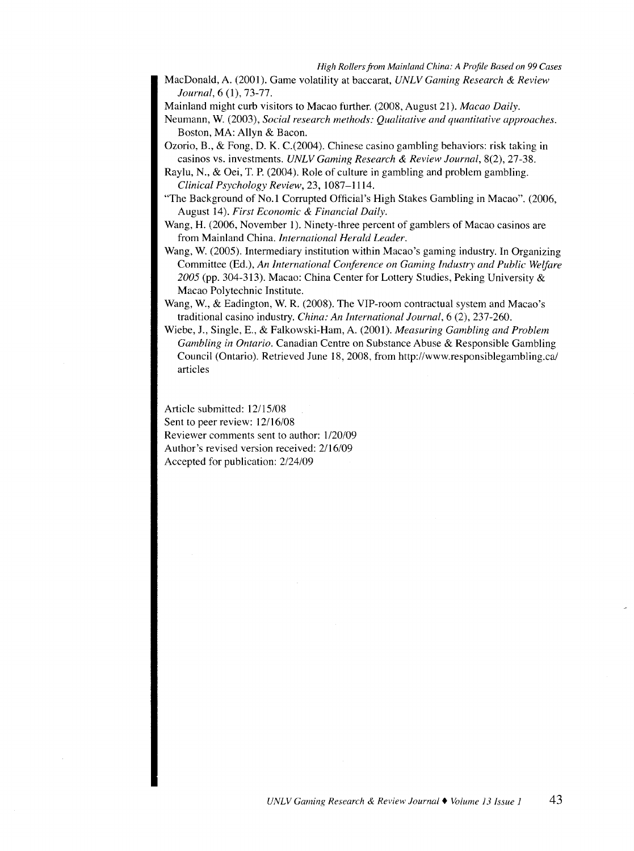MacDonald, A. (2001). Game volatility at baccarat, *UNLV Gaming Research* & *Review Journal,* 6 (1), 73-77.

Mainland might curb visitors to Macao further. (2008, August 21). *Macao Daily.* 

Neumann, W. (2003), *Social research methods: Qualitative and quantitative approaches.*  Boston, MA: Allyn & Bacon.

Ozorio, B., & Fong, D. K. C.(2004). Chinese casino gambling behaviors: risk taking in casinos vs. investments. *UNLV Gaming Research* & *Review Journal,* 8(2), 27-38.

Raylu, N., & Oei, T. P. (2004). Role of culture in gambling and problem gambling. *Clinical Psychology Review,* 23, 1087-1114.

- "The Background of No.1 Corrupted Official's High Stakes Gambling in Macao". (2006, August 14). *First Economic* & *Financial Daily.*
- Wang, H. (2006, November I). Ninety-three percent of gamblers of Macao casinos are from Mainland China. *International Herald Leader.*
- Wang, W. (2005). Intermediary institution within Macao's gaming industry. In Organizing Committee (Ed.), *An International Conference on Gaming Industry and Public Welfare 2005* (pp. 304-313). Macao: China Center for Lottery Studies, Peking University & Macao Polytechnic Institute.
- Wang, W., & Eadington, W. R. (2008). The VIP-room contractual system and Macao's traditional casino industry. *China: An International Journal,* 6 (2), 237-260.
- Wiebe, J., Single, E., & Falkowski-Ham, A (2001). *Measuring Gambling and Problem Gambling in Ontario.* Canadian Centre on Substance Abuse & Responsible Gambling Council (Ontario). Retrieved June 18, 2008, from http://www.responsiblegambling.ca/ articles

Article submitted: 12/15/08 Sent to peer review: 12/16/08 Reviewer comments sent to author: l/20/09 Author's revised version received: 2/16/09 Accepted for publication: 2/24/09